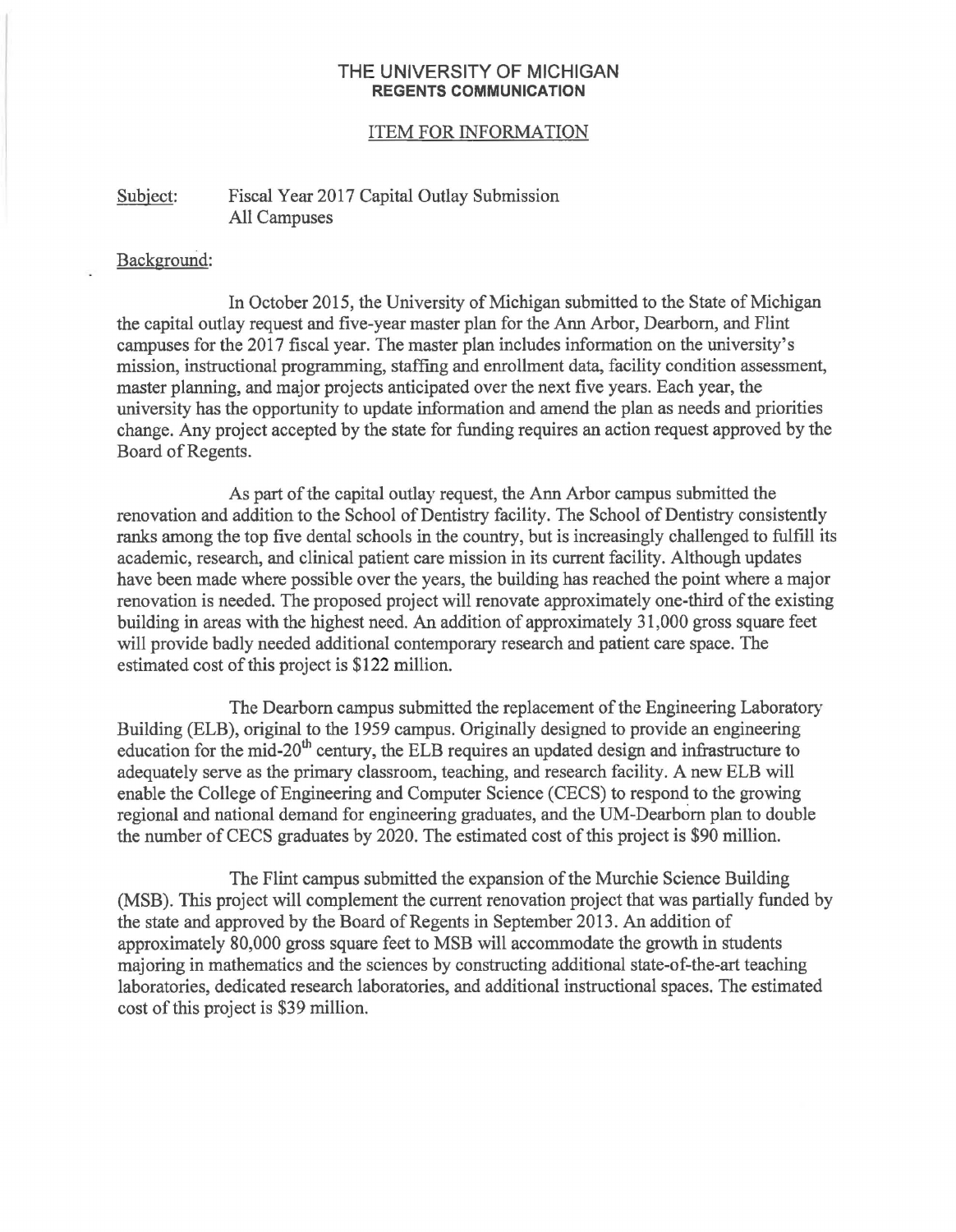## **THE UNIVERSITY OF MICHIGAN REGENTS COMMUNICATION**

## ITEM FOR INFORMATION

## Subject: Fiscal Year 2017 Capital Outlay Submission All Campuses

## Background:

In October 2015, the University of Michigan submitted to the State of Michigan the capital outlay request and five-year master plan for the Ann Arbor, Dearborn, and Flint campuses for the 2017 fiscal year. The master plan includes information on the university's mission, instructional programming, staffing and enrollment data, facility condition assessment, master planning, and major projects anticipated over the next five years. Each year, the university has the opportunity to update information and amend the plan as needs and priorities change. Any project accepted by the state for funding requires an action request approved by the Board of Regents.

As part of the capital outlay request, the Ann Arbor campus submitted the renovation and addition to the School of Dentistry facility. The School of Dentistry consistently ranks among the top five dental schools in the country, but is increasingly challenged to fulfill its academic, research, and clinical patient care mission in its current facility. Although updates have been made where possible over the years, the building has reached the point where a major renovation is needed. The proposed project will renovate approximately one-third of the existing building in areas with the highest need. An addition of approximately 31,000 gross square feet will provide badly needed additional contemporary research and patient care space. The estimated cost of this project is \$122 million.

The Dearborn campus submitted the replacement of the Engineering Laboratory Building (ELB), original to the 1959 campus. Originally designed to provide an engineering education for the mid-20<sup>th</sup> century, the ELB requires an updated design and infrastructure to adequately serve as the primary classroom, teaching, and research facility. A new ELB will enable the College of Engineering and Computer Science (CECS) to respond to the growing regional and national demand for engineering graduates, and the UM-Dearborn plan to double the number of CECS graduates by 2020. The estimated cost of this project is \$90 million.

The Flint campus submitted the expansion of the Murchie Science Building (MSB). This project will complement the current renovation project that was partially funded by the state and approved by the Board of Regents in September 2013. An addition of approximately 80,000 gross square feet to MSB will accommodate the growth in students majoring in mathematics and the sciences by constructing additional state-of-the-art teaching laboratories, dedicated research laboratories, and additional instructional spaces. The estimated cost of this project is \$39 million.